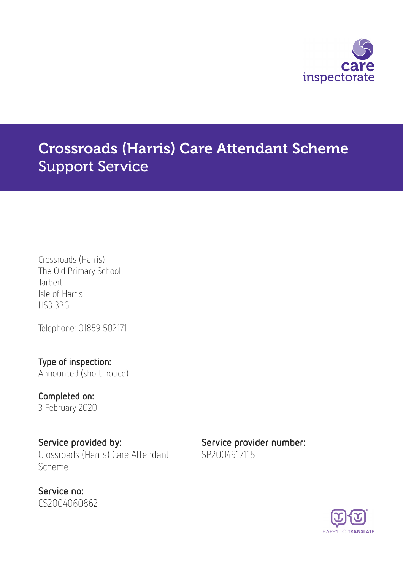

# Crossroads (Harris) Care Attendant Scheme Support Service

Crossroads (Harris) The Old Primary School **Tarbert** Isle of Harris HS3 3BG

Telephone: 01859 502171

Type of inspection:

Announced (short notice)

Completed on: 3 February 2020

Service provided by: Service provider number: Crossroads (Harris) Care Attendant Scheme

Service no: CS2004060862 SP2004917115

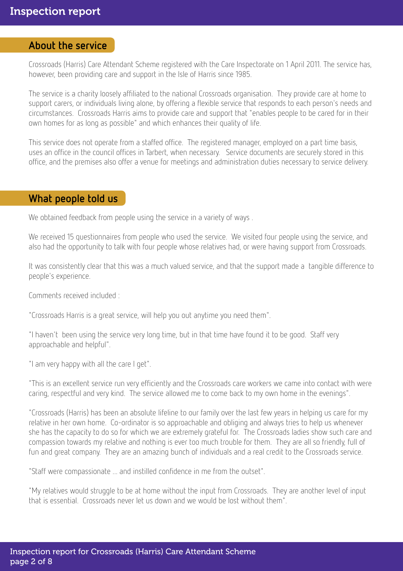### About the service

Crossroads (Harris) Care Attendant Scheme registered with the Care Inspectorate on 1 April 2011. The service has, however, been providing care and support in the Isle of Harris since 1985.

The service is a charity loosely affiliated to the national Crossroads organisation. They provide care at home to support carers, or individuals living alone, by offering a flexible service that responds to each person's needs and circumstances. Crossroads Harris aims to provide care and support that "enables people to be cared for in their own homes for as long as possible" and which enhances their quality of life.

This service does not operate from a staffed office. The registered manager, employed on a part time basis, uses an office in the council offices in Tarbert, when necessary. Service documents are securely stored in this office, and the premises also offer a venue for meetings and administration duties necessary to service delivery.

#### What people told us

We obtained feedback from people using the service in a variety of ways.

We received 15 questionnaires from people who used the service. We visited four people using the service, and also had the opportunity to talk with four people whose relatives had, or were having support from Crossroads.

It was consistently clear that this was a much valued service, and that the support made a tangible difference to people's experience.

Comments received included :

"Crossroads Harris is a great service, will help you out anytime you need them".

"I haven't been using the service very long time, but in that time have found it to be good. Staff very approachable and helpful".

"I am very happy with all the care I get".

"This is an excellent service run very efficiently and the Crossroads care workers we came into contact with were caring, respectful and very kind. The service allowed me to come back to my own home in the evenings".

"Crossroads (Harris) has been an absolute lifeline to our family over the last few years in helping us care for my relative in her own home. Co-ordinator is so approachable and obliging and always tries to help us whenever she has the capacity to do so for which we are extremely grateful for. The Crossroads ladies show such care and compassion towards my relative and nothing is ever too much trouble for them. They are all so friendly, full of fun and great company. They are an amazing bunch of individuals and a real credit to the Crossroads service.

"Staff were compassionate ... and instilled confidence in me from the outset".

"My relatives would struggle to be at home without the input from Crossroads. They are another level of input that is essential. Crossroads never let us down and we would be lost without them".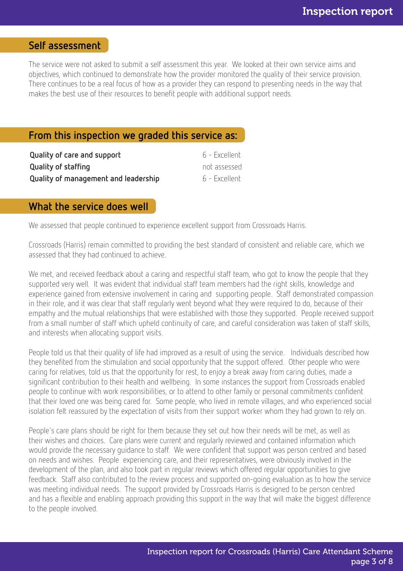### Self assessment

The service were not asked to submit a self assessment this year. We looked at their own service aims and objectives, which continued to demonstrate how the provider monitored the quality of their service provision. There continues to be a real focus of how as a provider they can respond to presenting needs in the way that makes the best use of their resources to benefit people with additional support needs.

### From this inspection we graded this service as:

| Quality of care and support          | 6 - Excellent |
|--------------------------------------|---------------|
| Quality of staffing                  | not assessed  |
| Quality of management and leadership | 6 - Excellent |

### What the service does well

We assessed that people continued to experience excellent support from Crossroads Harris.

Crossroads (Harris) remain committed to providing the best standard of consistent and reliable care, which we assessed that they had continued to achieve.

We met, and received feedback about a caring and respectful staff team, who got to know the people that they supported very well. It was evident that individual staff team members had the right skills, knowledge and experience gained from extensive involvement in caring and supporting people. Staff demonstrated compassion in their role, and it was clear that staff regularly went beyond what they were required to do, because of their empathy and the mutual relationships that were established with those they supported. People received support from a small number of staff which upheld continuity of care, and careful consideration was taken of staff skills, and interests when allocating support visits.

People told us that their quality of life had improved as a result of using the service. Individuals described how they benefited from the stimulation and social opportunity that the support offered. Other people who were caring for relatives, told us that the opportunity for rest, to enjoy a break away from caring duties, made a significant contribution to their health and wellbeing. In some instances the support from Crossroads enabled people to continue with work responsibilities, or to attend to other family or personal commitments confident that their loved one was being cared for. Some people, who lived in remote villages, and who experienced social isolation felt reassured by the expectation of visits from their support worker whom they had grown to rely on.

People's care plans should be right for them because they set out how their needs will be met, as well as their wishes and choices. Care plans were current and regularly reviewed and contained information which would provide the necessary guidance to staff. We were confident that support was person centred and based on needs and wishes. People experiencing care, and their representatives, were obviously involved in the development of the plan, and also took part in regular reviews which offered regular opportunities to give feedback. Staff also contributed to the review process and supported on-going evaluation as to how the service was meeting individual needs. The support provided by Crossroads Harris is designed to be person centred and has a flexible and enabling approach providing this support in the way that will make the biggest difference to the people involved.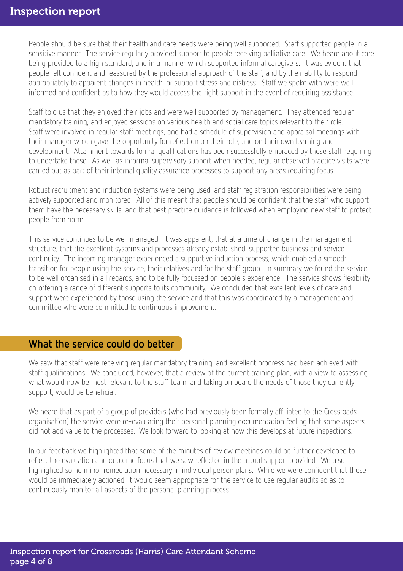People should be sure that their health and care needs were being well supported. Staff supported people in a sensitive manner. The service regularly provided support to people receiving palliative care. We heard about care being provided to a high standard, and in a manner which supported informal caregivers. It was evident that people felt confident and reassured by the professional approach of the staff, and by their ability to respond appropriately to apparent changes in health, or support stress and distress. Staff we spoke with were well informed and confident as to how they would access the right support in the event of requiring assistance.

Staff told us that they enjoyed their jobs and were well supported by management. They attended regular mandatory training, and enjoyed sessions on various health and social care topics relevant to their role. Staff were involved in regular staff meetings, and had a schedule of supervision and appraisal meetings with their manager which gave the opportunity for reflection on their role, and on their own learning and development. Attainment towards formal qualifications has been successfully embraced by those staff requiring to undertake these. As well as informal supervisory support when needed, regular observed practice visits were carried out as part of their internal quality assurance processes to support any areas requiring focus.

Robust recruitment and induction systems were being used, and staff registration responsibilities were being actively supported and monitored. All of this meant that people should be confident that the staff who support them have the necessary skills, and that best practice guidance is followed when employing new staff to protect people from harm.

This service continues to be well managed. It was apparent, that at a time of change in the management structure, that the excellent systems and processes already established, supported business and service continuity. The incoming manager experienced a supportive induction process, which enabled a smooth transition for people using the service, their relatives and for the staff group. In summary we found the service to be well organised in all regards, and to be fully focussed on people's experience. The service shows flexibility on offering a range of different supports to its community. We concluded that excellent levels of care and support were experienced by those using the service and that this was coordinated by a management and committee who were committed to continuous improvement.

#### What the service could do better

We saw that staff were receiving regular mandatory training, and excellent progress had been achieved with staff qualifications. We concluded, however, that a review of the current training plan, with a view to assessing what would now be most relevant to the staff team, and taking on board the needs of those they currently support, would be beneficial.

We heard that as part of a group of providers (who had previously been formally affiliated to the Crossroads organisation) the service were re-evaluating their personal planning documentation feeling that some aspects did not add value to the processes. We look forward to looking at how this develops at future inspections.

In our feedback we highlighted that some of the minutes of review meetings could be further developed to reflect the evaluation and outcome focus that we saw reflected in the actual support provided. We also highlighted some minor remediation necessary in individual person plans. While we were confident that these would be immediately actioned, it would seem appropriate for the service to use regular audits so as to continuously monitor all aspects of the personal planning process.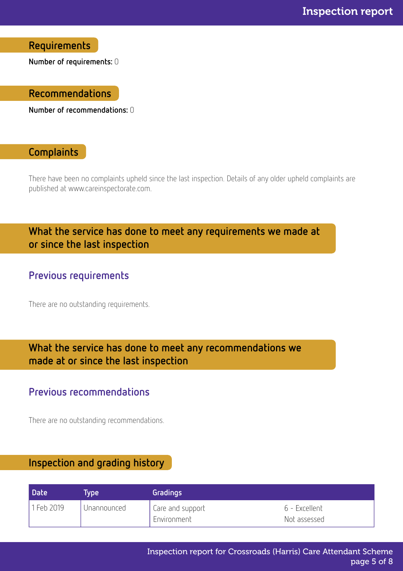Requirements

Number of requirements: 0

#### Recommendations

Number of recommendations: 0

### **Complaints**

There have been no complaints upheld since the last inspection. Details of any older upheld complaints are published at www.careinspectorate.com.

# What the service has done to meet any requirements we made at or since the last inspection

### Previous requirements

There are no outstanding requirements.

# What the service has done to meet any recommendations we made at or since the last inspection

### Previous recommendations

There are no outstanding recommendations.

# Inspection and grading history

| <b>Date</b> | Tvpe i        | Gradings                          |                                |
|-------------|---------------|-----------------------------------|--------------------------------|
| 1 Feb 2019  | I Unannounced | Care and support<br>I Environment | -6 - Excellent<br>Not assessed |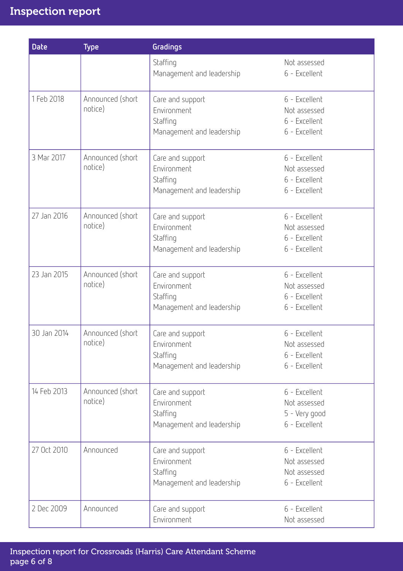| <b>Date</b> | <b>Type</b>                 | Gradings                                                                 |                                                                 |
|-------------|-----------------------------|--------------------------------------------------------------------------|-----------------------------------------------------------------|
|             |                             | Staffing<br>Management and leadership                                    | Not assessed<br>6 - Excellent                                   |
| 1 Feb 2018  | Announced (short<br>notice) | Care and support<br>Environment<br>Staffing<br>Management and leadership | 6 - Excellent<br>Not assessed<br>6 - Excellent<br>6 - Excellent |
| 3 Mar 2017  | Announced (short<br>notice) | Care and support<br>Environment<br>Staffing<br>Management and leadership | 6 - Excellent<br>Not assessed<br>6 - Excellent<br>6 - Excellent |
| 27 Jan 2016 | Announced (short<br>notice) | Care and support<br>Environment<br>Staffing<br>Management and leadership | 6 - Excellent<br>Not assessed<br>6 - Excellent<br>6 - Excellent |
| 23 Jan 2015 | Announced (short<br>notice) | Care and support<br>Environment<br>Staffing<br>Management and leadership | 6 - Excellent<br>Not assessed<br>6 - Excellent<br>6 - Excellent |
| 30 Jan 2014 | Announced (short<br>notice) | Care and support<br>Environment<br>Staffing<br>Management and leadership | 6 - Excellent<br>Not assessed<br>6 - Excellent<br>6 - Excellent |
| 14 Feb 2013 | Announced (short<br>notice) | Care and support<br>Environment<br>Staffing<br>Management and leadership | 6 - Excellent<br>Not assessed<br>5 - Very good<br>6 - Excellent |
| 27 Oct 2010 | Announced                   | Care and support<br>Environment<br>Staffing<br>Management and leadership | 6 - Excellent<br>Not assessed<br>Not assessed<br>6 - Excellent  |
| 2 Dec 2009  | Announced                   | Care and support<br>Environment                                          | 6 - Excellent<br>Not assessed                                   |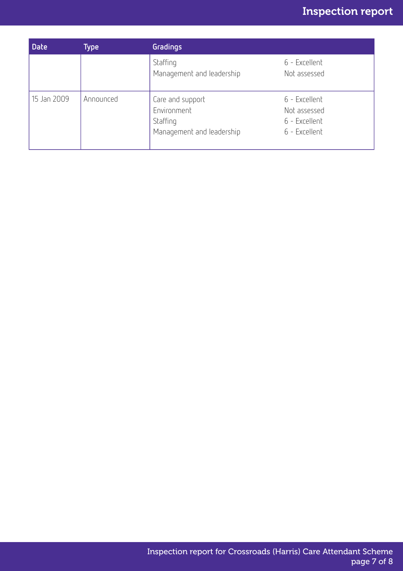| <b>Date</b> | Type      | Gradings                                                                 |                                                                 |
|-------------|-----------|--------------------------------------------------------------------------|-----------------------------------------------------------------|
|             |           | Staffing<br>Management and leadership                                    | 6 - Excellent<br>Not assessed                                   |
| 15 Jan 2009 | Announced | Care and support<br>Environment<br>Staffing<br>Management and leadership | 6 - Excellent<br>Not assessed<br>6 - Excellent<br>6 - Excellent |